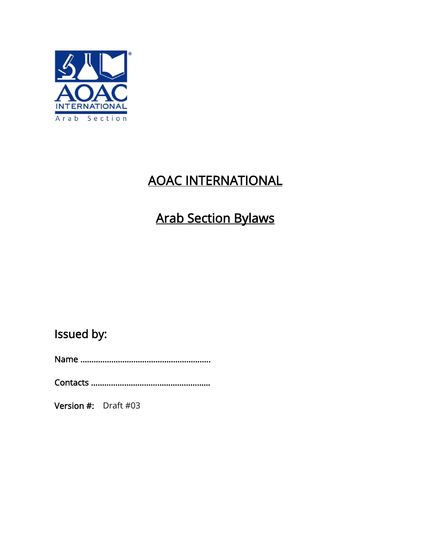

## AOAC INTERNATIONAL

# Arab Section Bylaws

Issued by:

Name …………………………………………………..

Contacts ………………………………………………

Version #: Draft #03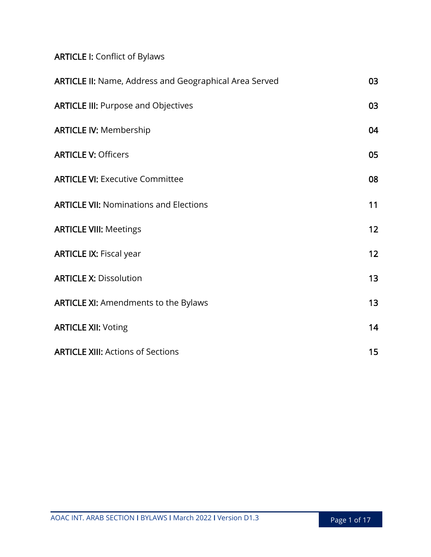## ARTICLE I: Conflict of Bylaws

| <b>ARTICLE II:</b> Name, Address and Geographical Area Served | 03              |
|---------------------------------------------------------------|-----------------|
| <b>ARTICLE III: Purpose and Objectives</b>                    | 03              |
| <b>ARTICLE IV: Membership</b>                                 | 04              |
| <b>ARTICLE V: Officers</b>                                    | 05              |
| <b>ARTICLE VI: Executive Committee</b>                        | 08              |
| <b>ARTICLE VII: Nominations and Elections</b>                 | 11              |
| <b>ARTICLE VIII: Meetings</b>                                 | 12 <sub>2</sub> |
| <b>ARTICLE IX: Fiscal year</b>                                | 12 <sub>2</sub> |
| <b>ARTICLE X: Dissolution</b>                                 | 13              |
| <b>ARTICLE XI: Amendments to the Bylaws</b>                   | 13 <sub>1</sub> |
| <b>ARTICLE XII: Voting</b>                                    | 14              |
| <b>ARTICLE XIII: Actions of Sections</b>                      | 15              |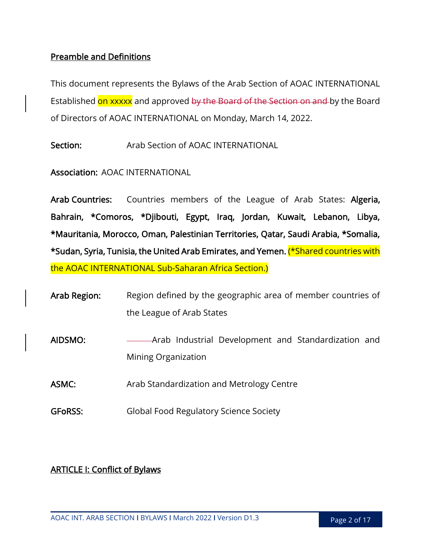## Preamble and Definitions

This document represents the Bylaws of the Arab Section of AOAC INTERNATIONAL Established on xxxxx and approved by the Board of the Section on and by the Board of Directors of AOAC INTERNATIONAL on Monday, March 14, 2022.

Section: Arab Section of AOAC INTERNATIONAL

Association: AOAC INTERNATIONAL

Arab Countries: Countries members of the League of Arab States: Algeria, Bahrain, \*Comoros, \*Djibouti, Egypt, Iraq, Jordan, Kuwait, Lebanon, Libya, \*Mauritania, Morocco, Oman, Palestinian Territories, Qatar, Saudi Arabia, \*Somalia, \*Sudan, Syria, Tunisia, the United Arab Emirates, and Yemen. (\*Shared countries with the AOAC INTERNATIONAL Sub-Saharan Africa Section.)

| Arab Region:   | Region defined by the geographic area of member countries of                |  |  |
|----------------|-----------------------------------------------------------------------------|--|--|
|                | the League of Arab States                                                   |  |  |
| AIDSMO:        | -Arab Industrial Development and Standardization and<br>Mining Organization |  |  |
| ASMC:          | Arab Standardization and Metrology Centre                                   |  |  |
| <b>GFORSS:</b> | Global Food Regulatory Science Society                                      |  |  |

## ARTICLE I: Conflict of Bylaws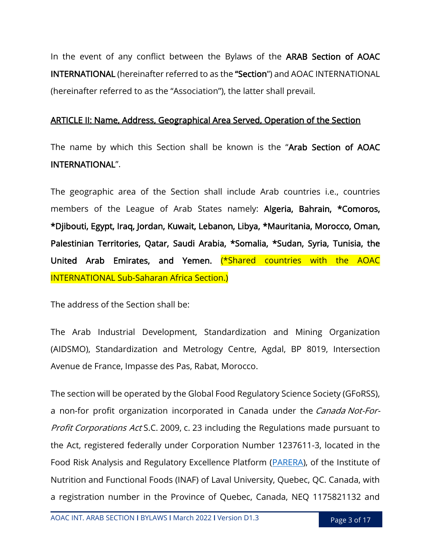In the event of any conflict between the Bylaws of the ARAB Section of AOAC INTERNATIONAL (hereinafter referred to as the "Section") and AOAC INTERNATIONAL (hereinafter referred to as the "Association"), the latter shall prevail.

#### ARTICLE II: Name, Address, Geographical Area Served, Operation of the Section

The name by which this Section shall be known is the "Arab Section of AOAC INTERNATIONAL".

The geographic area of the Section shall include Arab countries i.e., countries members of the League of Arab States namely: Algeria, Bahrain, \*Comoros, \*Djibouti, Egypt, Iraq, Jordan, Kuwait, Lebanon, Libya, \*Mauritania, Morocco, Oman, Palestinian Territories, Qatar, Saudi Arabia, \*Somalia, \*Sudan, Syria, Tunisia, the United Arab Emirates, and Yemen. (\*Shared countries with the AOAC INTERNATIONAL Sub-Saharan Africa Section.)

The address of the Section shall be:

The Arab Industrial Development, Standardization and Mining Organization (AIDSMO), Standardization and Metrology Centre, Agdal, BP 8019, Intersection Avenue de France, Impasse des Pas, Rabat, Morocco.

The section will be operated by the Global Food Regulatory Science Society (GFoRSS), a non-for profit organization incorporated in Canada under the Canada Not-For-Profit Corporations Act S.C. 2009, c. 23 including the Regulations made pursuant to the Act, registered federally under Corporation Number 1237611-3, located in the Food Risk Analysis and Regulatory Excellence Platform [\(PARERA\)](https://parera.ulaval.ca/), of the Institute of Nutrition and Functional Foods (INAF) of Laval University, Quebec, QC. Canada, with a registration number in the Province of Quebec, Canada, NEQ 1175821132 and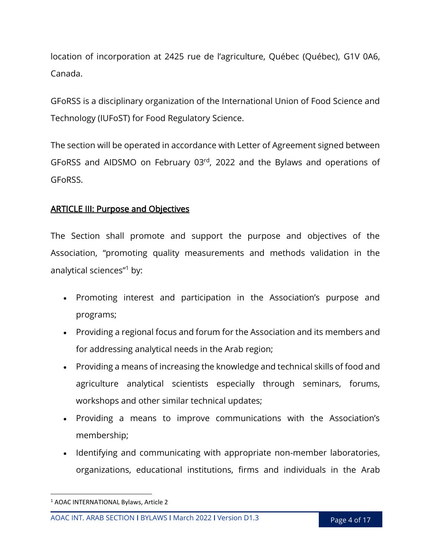location of incorporation at 2425 rue de l'agriculture, Québec (Québec), G1V 0A6, Canada.

GFoRSS is a disciplinary organization of the International Union of Food Science and Technology (IUFoST) for Food Regulatory Science.

The section will be operated in accordance with Letter of Agreement signed between GFoRSS and AIDSMO on February 03rd, 2022 and the Bylaws and operations of GFoRSS.

## ARTICLE III: Purpose and Objectives

The Section shall promote and support the purpose and objectives of the Association, "promoting quality measurements and methods validation in the analytical sciences" <sup>1</sup> by:

- Promoting interest and participation in the Association's purpose and programs;
- Providing a regional focus and forum for the Association and its members and for addressing analytical needs in the Arab region;
- Providing a means of increasing the knowledge and technical skills of food and agriculture analytical scientists especially through seminars, forums, workshops and other similar technical updates;
- Providing a means to improve communications with the Association's membership;
- Identifying and communicating with appropriate non-member laboratories, organizations, educational institutions, firms and individuals in the Arab

 $\overline{\phantom{a}}$ 

<sup>1</sup> AOAC INTERNATIONAL Bylaws, Article 2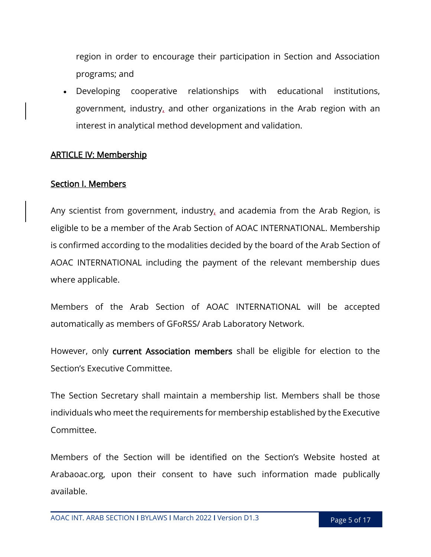region in order to encourage their participation in Section and Association programs; and

 Developing cooperative relationships with educational institutions, government, industry, and other organizations in the Arab region with an interest in analytical method development and validation.

## ARTICLE IV: Membership

## Section I. Members

Any scientist from government, industry, and academia from the Arab Region, is eligible to be a member of the Arab Section of AOAC INTERNATIONAL. Membership is confirmed according to the modalities decided by the board of the Arab Section of AOAC INTERNATIONAL including the payment of the relevant membership dues where applicable.

Members of the Arab Section of AOAC INTERNATIONAL will be accepted automatically as members of GFoRSS/ Arab Laboratory Network.

However, only current Association members shall be eligible for election to the Section's Executive Committee.

The Section Secretary shall maintain a membership list. Members shall be those individuals who meet the requirements for membership established by the Executive Committee.

Members of the Section will be identified on the Section's Website hosted at Arabaoac.org, upon their consent to have such information made publically available.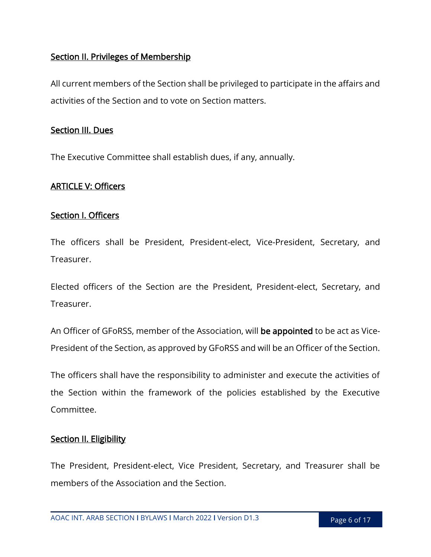## Section II. Privileges of Membership

All current members of the Section shall be privileged to participate in the affairs and activities of the Section and to vote on Section matters.

#### Section III. Dues

The Executive Committee shall establish dues, if any, annually.

#### ARTICLE V: Officers

#### Section I. Officers

The officers shall be President, President-elect, Vice-President, Secretary, and Treasurer.

Elected officers of the Section are the President, President-elect, Secretary, and Treasurer.

An Officer of GFoRSS, member of the Association, will be appointed to be act as Vice-President of the Section, as approved by GFoRSS and will be an Officer of the Section.

The officers shall have the responsibility to administer and execute the activities of the Section within the framework of the policies established by the Executive Committee.

## **Section II. Eligibility**

The President, President-elect, Vice President, Secretary, and Treasurer shall be members of the Association and the Section.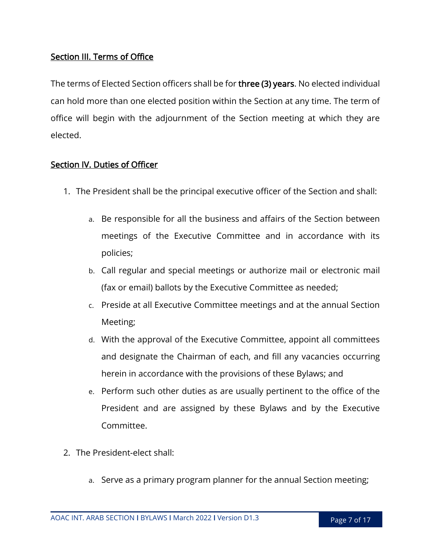## Section III. Terms of Office

The terms of Elected Section officers shall be for three (3) years. No elected individual can hold more than one elected position within the Section at any time. The term of office will begin with the adjournment of the Section meeting at which they are elected.

## Section IV. Duties of Officer

- 1. The President shall be the principal executive officer of the Section and shall:
	- a. Be responsible for all the business and affairs of the Section between meetings of the Executive Committee and in accordance with its policies;
	- b. Call regular and special meetings or authorize mail or electronic mail (fax or email) ballots by the Executive Committee as needed;
	- c. Preside at all Executive Committee meetings and at the annual Section Meeting;
	- d. With the approval of the Executive Committee, appoint all committees and designate the Chairman of each, and fill any vacancies occurring herein in accordance with the provisions of these Bylaws; and
	- e. Perform such other duties as are usually pertinent to the office of the President and are assigned by these Bylaws and by the Executive Committee.
- 2. The President-elect shall:
	- a. Serve as a primary program planner for the annual Section meeting;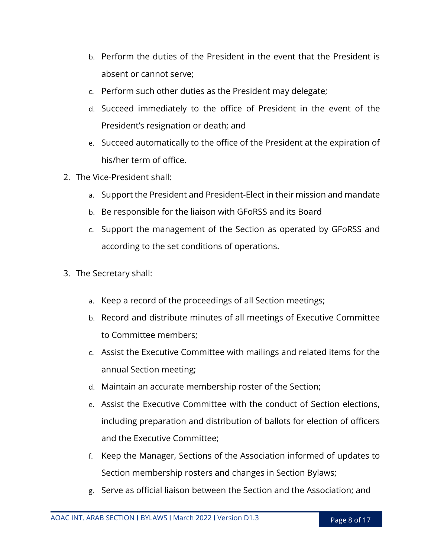- b. Perform the duties of the President in the event that the President is absent or cannot serve;
- c. Perform such other duties as the President may delegate;
- d. Succeed immediately to the office of President in the event of the President's resignation or death; and
- e. Succeed automatically to the office of the President at the expiration of his/her term of office.
- 2. The Vice-President shall:
	- a. Support the President and President-Elect in their mission and mandate
	- b. Be responsible for the liaison with GFoRSS and its Board
	- c. Support the management of the Section as operated by GFoRSS and according to the set conditions of operations.
- 3. The Secretary shall:
	- a. Keep a record of the proceedings of all Section meetings;
	- b. Record and distribute minutes of all meetings of Executive Committee to Committee members;
	- c. Assist the Executive Committee with mailings and related items for the annual Section meeting;
	- d. Maintain an accurate membership roster of the Section;
	- e. Assist the Executive Committee with the conduct of Section elections, including preparation and distribution of ballots for election of officers and the Executive Committee;
	- f. Keep the Manager, Sections of the Association informed of updates to Section membership rosters and changes in Section Bylaws;
	- g. Serve as official liaison between the Section and the Association; and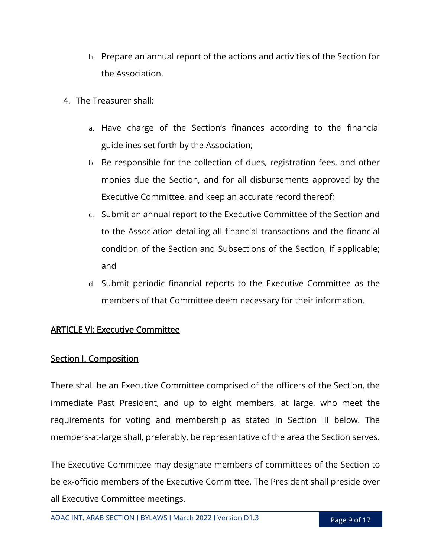- h. Prepare an annual report of the actions and activities of the Section for the Association.
- 4. The Treasurer shall:
	- a. Have charge of the Section's finances according to the financial guidelines set forth by the Association;
	- b. Be responsible for the collection of dues, registration fees, and other monies due the Section, and for all disbursements approved by the Executive Committee, and keep an accurate record thereof;
	- c. Submit an annual report to the Executive Committee of the Section and to the Association detailing all financial transactions and the financial condition of the Section and Subsections of the Section, if applicable; and
	- d. Submit periodic financial reports to the Executive Committee as the members of that Committee deem necessary for their information.

## ARTICLE VI: Executive Committee

## Section I. Composition

There shall be an Executive Committee comprised of the officers of the Section, the immediate Past President, and up to eight members, at large, who meet the requirements for voting and membership as stated in Section III below. The members-at-large shall, preferably, be representative of the area the Section serves.

The Executive Committee may designate members of committees of the Section to be ex-officio members of the Executive Committee. The President shall preside over all Executive Committee meetings.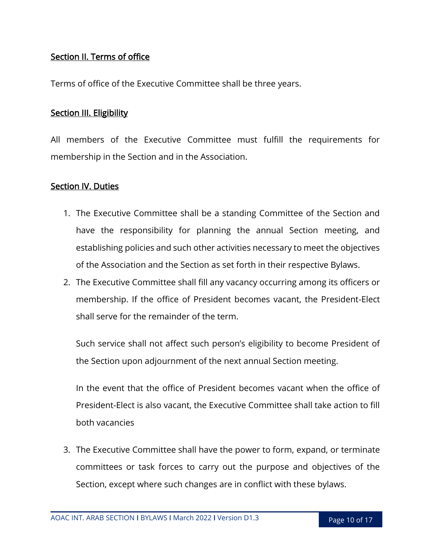## Section II. Terms of office

Terms of office of the Executive Committee shall be three years.

#### **Section III. Eligibility**

All members of the Executive Committee must fulfill the requirements for membership in the Section and in the Association.

#### Section IV. Duties

- 1. The Executive Committee shall be a standing Committee of the Section and have the responsibility for planning the annual Section meeting, and establishing policies and such other activities necessary to meet the objectives of the Association and the Section as set forth in their respective Bylaws.
- 2. The Executive Committee shall fill any vacancy occurring among its officers or membership. If the office of President becomes vacant, the President-Elect shall serve for the remainder of the term.

Such service shall not affect such person's eligibility to become President of the Section upon adjournment of the next annual Section meeting.

In the event that the office of President becomes vacant when the office of President-Elect is also vacant, the Executive Committee shall take action to fill both vacancies

3. The Executive Committee shall have the power to form, expand, or terminate committees or task forces to carry out the purpose and objectives of the Section, except where such changes are in conflict with these bylaws.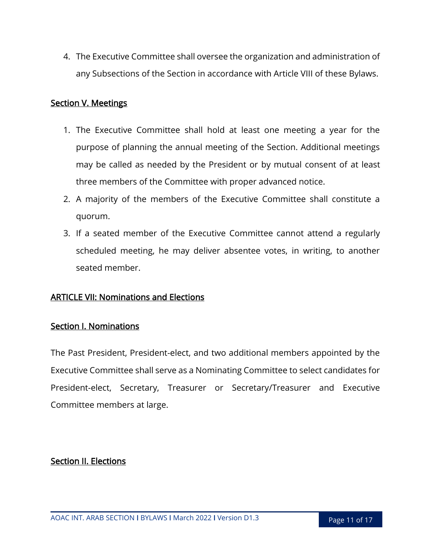4. The Executive Committee shall oversee the organization and administration of any Subsections of the Section in accordance with Article VIII of these Bylaws.

## Section V. Meetings

- 1. The Executive Committee shall hold at least one meeting a year for the purpose of planning the annual meeting of the Section. Additional meetings may be called as needed by the President or by mutual consent of at least three members of the Committee with proper advanced notice.
- 2. A majority of the members of the Executive Committee shall constitute a quorum.
- 3. If a seated member of the Executive Committee cannot attend a regularly scheduled meeting, he may deliver absentee votes, in writing, to another seated member.

#### ARTICLE VII: Nominations and Elections

#### Section I. Nominations

The Past President, President-elect, and two additional members appointed by the Executive Committee shall serve as a Nominating Committee to select candidates for President-elect, Secretary, Treasurer or Secretary/Treasurer and Executive Committee members at large.

#### Section II. Elections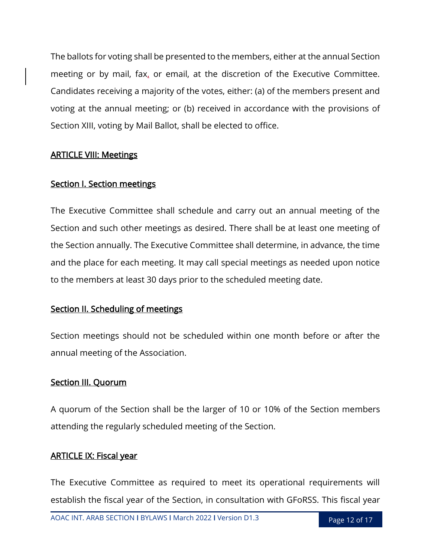The ballots for voting shall be presented to the members, either at the annual Section meeting or by mail, fax, or email, at the discretion of the Executive Committee. Candidates receiving a majority of the votes, either: (a) of the members present and voting at the annual meeting; or (b) received in accordance with the provisions of Section XIII, voting by Mail Ballot, shall be elected to office.

#### ARTICLE VIII: Meetings

## Section I. Section meetings

The Executive Committee shall schedule and carry out an annual meeting of the Section and such other meetings as desired. There shall be at least one meeting of the Section annually. The Executive Committee shall determine, in advance, the time and the place for each meeting. It may call special meetings as needed upon notice to the members at least 30 days prior to the scheduled meeting date.

## Section II. Scheduling of meetings

Section meetings should not be scheduled within one month before or after the annual meeting of the Association.

## Section III. Quorum

A quorum of the Section shall be the larger of 10 or 10% of the Section members attending the regularly scheduled meeting of the Section.

## ARTICLE IX: Fiscal year

The Executive Committee as required to meet its operational requirements will establish the fiscal year of the Section, in consultation with GFoRSS. This fiscal year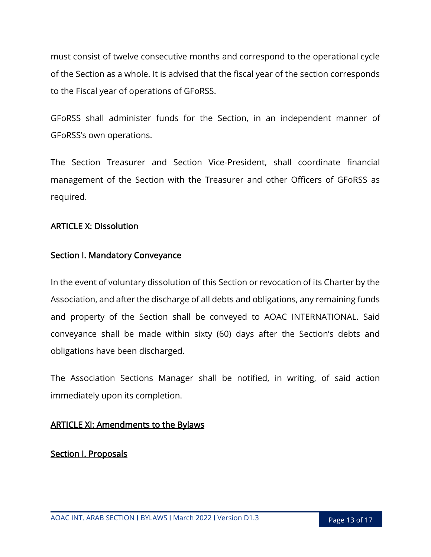must consist of twelve consecutive months and correspond to the operational cycle of the Section as a whole. It is advised that the fiscal year of the section corresponds to the Fiscal year of operations of GFoRSS.

GFoRSS shall administer funds for the Section, in an independent manner of GFoRSS's own operations.

The Section Treasurer and Section Vice-President, shall coordinate financial management of the Section with the Treasurer and other Officers of GFoRSS as required.

#### ARTICLE X: Dissolution

#### Section I. Mandatory Conveyance

In the event of voluntary dissolution of this Section or revocation of its Charter by the Association, and after the discharge of all debts and obligations, any remaining funds and property of the Section shall be conveyed to AOAC INTERNATIONAL. Said conveyance shall be made within sixty (60) days after the Section's debts and obligations have been discharged.

The Association Sections Manager shall be notified, in writing, of said action immediately upon its completion.

## ARTICLE XI: Amendments to the Bylaws

Section I. Proposals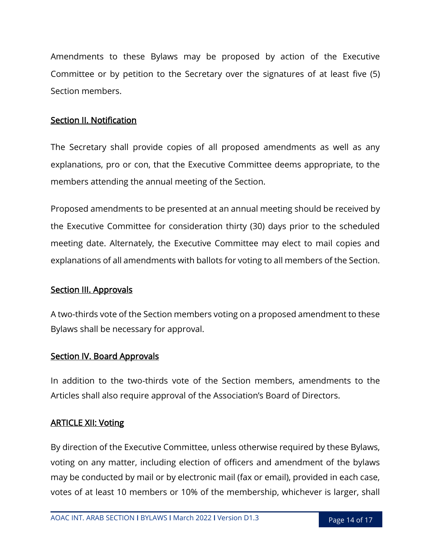Amendments to these Bylaws may be proposed by action of the Executive Committee or by petition to the Secretary over the signatures of at least five (5) Section members.

#### Section II. Notification

The Secretary shall provide copies of all proposed amendments as well as any explanations, pro or con, that the Executive Committee deems appropriate, to the members attending the annual meeting of the Section.

Proposed amendments to be presented at an annual meeting should be received by the Executive Committee for consideration thirty (30) days prior to the scheduled meeting date. Alternately, the Executive Committee may elect to mail copies and explanations of all amendments with ballots for voting to all members of the Section.

#### Section III. Approvals

A two-thirds vote of the Section members voting on a proposed amendment to these Bylaws shall be necessary for approval.

#### Section IV. Board Approvals

In addition to the two-thirds vote of the Section members, amendments to the Articles shall also require approval of the Association's Board of Directors.

## ARTICLE XII: Voting

By direction of the Executive Committee, unless otherwise required by these Bylaws, voting on any matter, including election of officers and amendment of the bylaws may be conducted by mail or by electronic mail (fax or email), provided in each case, votes of at least 10 members or 10% of the membership, whichever is larger, shall